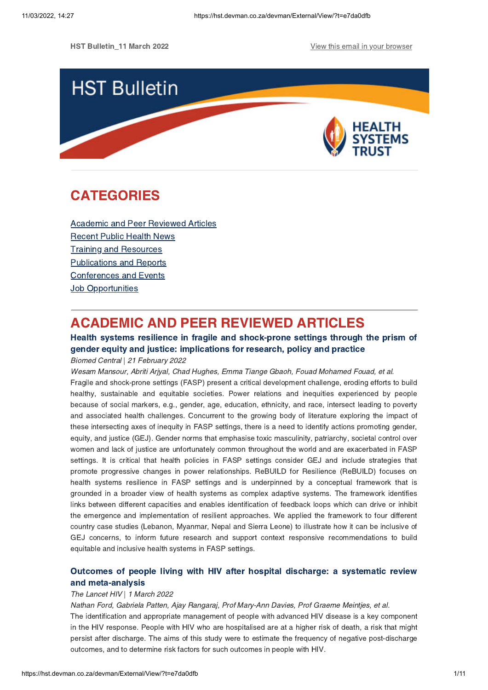HST Bulleting Bulletin and December 2022 View this email in the company of the company of the company of the company of the company of the company of the company of the company of the company of the company of the company



### **CATEGORIES** [CATEGORIES](#page-0-0)<br>CATEGORIES

**[Academic](#page-2-0) and Peer Reviewed Articles**<br>Recent Public Health News **Training and Resources Publications and Reports** Conferences and Events **Job Opportunities** Job Opportunities

### <span id="page-0-0"></span>**ACADEMIC AND PEER REVIEWED ARTICLES**

### Health systems resilience in fragile and shock-prone settings through the prism of gender equity and justice: implications for research, policy and practice

gender equity and justice of process for research, policy and practice:<br>Biomed Central | 21 February 2022<br>Wesam Mansour, Abriti Arival, Chad Hughes, Fmma Tiange Gbaoh, Fouad Mohamed Fou Wesam Mansour, Abriti Arjyal, Chad Hughes, Emma Tiange Gbaoh, Fouad Mohamed Fouad, et al. Fragile and shock-prone settings (FASP) present a critical development challenge, eroding efforts to build<br>healthy, sustainable and equitable societies. Power relations and inequities experienced by people because of social markers, e.g., gender, age, education, ethnicity, and race, intersect leading to poverty and associated health challenges. Concurrent to the growing body of literature exploring the impact of these intersecting axes of inequity in FASP settings, there is a need to identify actions promoting gender. equity, and justice (GEJ). Gender norms that emphasise toxic masculinity, patriarchy, societal control over women and lack of justice are unfortunately common throughout the world and are exacerbated in FASP settings. It is critical that health policies in FASP settings consider GEJ and include strategies that promote progressive changes in power relationships. ReBUILD for Resilience (ReBUILD) focuses on health systems resilience in FASP settings and is underpinned by a conceptual framework that is grounded in a broader view of health systems as complex adaptive systems. The framework identifies links between different capacities and enables identification of feedback loops which can drive or inhibit the emergence and implementation of resilient approaches. We applied the framework to four different country case studies (Lebanon, Myanmar, Nepal and Sierra Leone) to illustrate how it can be inclusive of GEJ concerns, to inform future research and support context responsive recommendations to build equitable and inclusive health systems in FASP settings. equitable and inclusive health systems in FASP settings.

## Outcomes of people living with HIV after hospital discharge: a [systematic](https://hst.devman.co.za/devman/external/?t=2dfed7cc) review

# and meta-analysis<br>The Lancet HIV | 1 March 2022<br>Nathan Ford, Gabriela Patten, A

Nathan Ford, Gabriela Patten, Ajay Rangaraj, Prof Mary-Ann Davies, Prof Graeme Meintjes, et al. The identification and appropriate management of people with advanced HIV disease is a key component in the HIV response. People with HIV who are hospitalised are at a higher risk of death, a risk that might persist after discharge. The aims of this study were to estimate the frequency of negative post-discharge persist and to determine risk factors for such outcomes in people with HIV. outcomes, and to determine risk factors for such outcomes in people with HIV.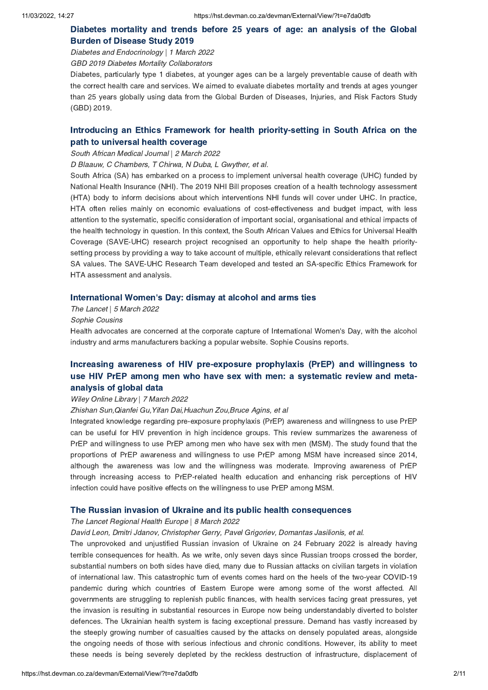### Diabetes [mortality](https://hst.devman.co.za/devman/external/?t=2c33b229) and trends before 25 years of age: an analysis of the Global

Burden of Disease Study 2019 Diabetes and Endocrinology | <sup>1</sup> March <sup>2022</sup>

GBD 2019 Diabetes Mortality Collaborators

Diabetes, particularly type 1 diabetes, at younger ages can be a largely preventable cause of death with the correct health care and services. We aimed to evaluate diabetes mortality and trends at ages younger than 25 years globally using data from the Global Burden of Diseases, Injuries, and Risk Factors Study than 25 years globally using data from the Global Burden of Diseases, Injuries, and Risk Factors Study.<br>(GBD) 2019  $(100 - 7)$ 

## Introducing an Ethics Framework for health [priority-setting](https://hst.devman.co.za/devman/external/?t=3611ef0a) in South Africa on the

# path to universal health coverage South African Medical Journal | <sup>2</sup> March <sup>2022</sup>

D Blaauw, C Chambers, T Chirwa, N Duba, L Gwyther, et al.

South Africa (SA) has embarked on a process to implement universal health coverage (UHC) funded by<br>National Health Insurance (NHI). The 2019 NHI Bill proposes creation of a health technology assessment (HTA) body to inform decisions about which interventions NHI funds will cover under UHC. In practice, HTA often relies mainly on economic evaluations of cost-effectiveness and budget impact, with less attention to the systematic, specific consideration of important social, organisational and ethical impacts of the health technology in question. In this context, the South African Values and Ethics for Universal Health Coverage (SAVE-UHC) research project recognised an opportunity to help shape the health prioritysetting process by providing a way to take account of multiple, ethically relevant considerations that reflect SA values. The SAVE-UHC Research Team developed and tested an SA-specific Ethics Framework for HTA assessment and analysis. HTA assessment and analysis.

### International Women['](https://hst.devman.co.za/devman/external/?t=5d4b2f6f)s Day: dismay at alcohol and arms ties

The Lancet | 5 March 2022<br>Sophie Cousins

Sophie Cousins

Health advocates are concerned at the corporate capture of International Women's Day, with the alcohol industry and arms manufacturers backing a popular website. Sophie Cousins reports.

### Increasing awareness of HIV [pre-exposure](https://hst.devman.co.za/devman/external/?t=67296d50) prophylaxis (PrEP) and willingness to use HIV PrEP among men who have sex with men: a systematic review and metaanalysis of global data

# waar, yn 1990 yn 1900 maart 2022<br>Wiley Online Library | 7 March 2022<br>Zhishan Sun Qianfei Gu Yifan Dai H

Zhishan Sun,Qianfei Gu,Yifan Dai,Huachun Zou,Bruce Agins, et al

Integrated knowledge regarding pre-exposure prophylaxis (PrEP) awareness and willingness to use PrEP can be useful for HIV prevention in high incidence groups. This review summarizes the awareness of PrEP and willingness to use PrEP among men who have sex with men (MSM). The study found that the proportions of PrEP awareness and willingness to use PrEP among MSM have increased since 2014. although the awareness was low and the willingness was moderate. Improving awareness of PrEP through increasing access to PrEP-related health education and enhancing risk perceptions of HIV infection could have positive effects on the willingness to use PrEP among MSM. infection could have positive effects on the willingness to use PrEP among MSM.

The Lancet Regional Health Europe | 8 March 2022<br>The Lancet Regional Health Europe | 8 March 2022<br>David Leon, Dmitri Jdanov, Christopher Gerry, Pavel Grigoriev, Domantas Jasilionis, e David Leon, Dmitri Jdanov, Christopher Gerry, Pavel Grigoriev, Domantas Jasilionis, et al.

The unprovoked and unjustified Russian invasion of Ukraine on 24 February 2022 is already having<br>terrible consequences for health. As we write, only seven days since Russian troops crossed the border, substantial numbers on both sides have died, many due to Russian attacks on civilian targets in violation of international law. This catastrophic turn of events comes hard on the heels of the two-year COVID-19 pandemic during which countries of Eastern Europe were among some of the worst affected. All governments are struggling to replenish public finances, with health services facing great pressures, yet the invasion is resulting in substantial resources in Europe now being understandably diverted to bolster defences. The Ukrainian health system is facing exceptional pressure. Demand has vastly increased by the steeply growing number of casualties caused by the attacks on densely populated areas, alongside the ongoing needs of those with serious infectious and chronic conditions. However, its ability to meet these needs is being severely depleted by the reckless destruction of infrastructure, displacement of these needs is being severely depleted by the reckless destruction of infrastructure, displacement of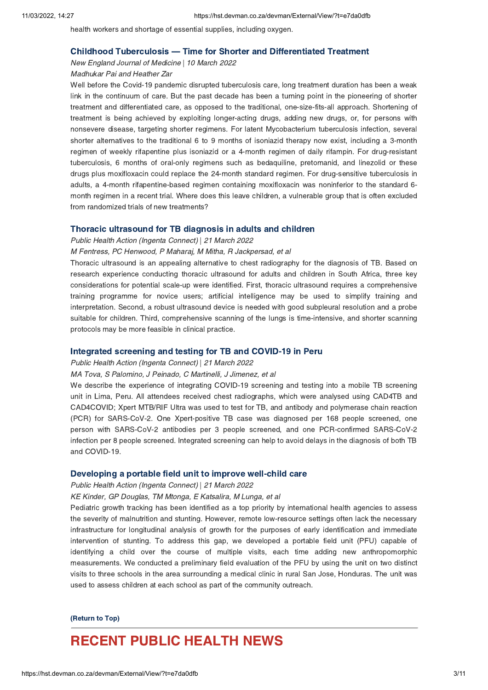health workers and shortage of essential supplies, including oxygen.

### Childhood Tuberculosis [—](https://hst.devman.co.za/devman/external/?t=77ac93cd) Time for Shorter and Differentiated Treatment

New England Journal of Medicine | 10 March 2022<br>Madhukar Pai and Heather Zar

### Madhukar Pai and Heather Zar

Well before the Covid-19 pandemic disrupted tuberculosis care, long treatment duration has been a weak<br>link in the continuum of care. But the past decade has been a turning point in the pioneering of shorter treatment and differentiated care, as opposed to the traditional, one-size-fits-all approach. Shortening of treatment is being achieved by exploiting longer-acting drugs, adding new drugs, or, for persons with nonsevere disease, targeting shorter regimens. For latent Mycobacterium tuberculosis infection, several shorter alternatives to the traditional 6 to 9 months of isoniazid therapy now exist, including a 3-month regimen of weekly rifapentine plus isoniazid or a 4-month regimen of daily rifampin. For drug-resistant tuberculosis, 6 months of oral-only regimens such as bedaquiline, pretomanid, and linezolid or these drugs plus moxifloxacin could replace the 24-month standard regimen. For drug-sensitive tuberculosis in adults, a 4-month rifapentine-based regimen containing moxifloxacin was noninferior to the standard 6month regimen in a recent trial. Where does this leave children, a vulnerable group that is often excluded from randomized trials of new treatments?

# Public Health Action (Ingenta Connect) | 21 March 2022<br>M Fentress, PC Henwood, P Maharai, M Mitha, R Jackpersad, et al

M Fentress, PC Henwood, P Maharaj, M Mitha, R Jackpersad, et al

Thoracic ultrasound is an appealing alternative to chest radiography for the diagnosis of TB. Based on research experience conducting thoracic ultrasound for adults and children in South Africa, three key considerations for potential scale-up were identified. First, thoracic ultrasound requires a comprehensive training programme for novice users; artificial intelligence may be used to simplify training and interpretation. Second, a robust ultrasound device is needed with good subpleural resolution and a probe suitable for children. Third, comprehensive scanning of the lungs is time-intensive, and shorter scanning protocols may be more feasible in clinical practice. protocols may be more feasible in clinical practice.

# Integrated screening and testing for TB and Covid-19 in Perusalism connect) | 21 March 2022<br>
MA Tova, S Palomino, J Peinado, C Martinelli, J Jimenez, et al

### MA Tova, S Palomino, J Peinado, C Martinelli, J Jimenez, et al

We describe the experience of integrating COVID-19 screening and testing into a mobile TB screening<br>unit in Lima, Peru. All attendees received chest radiographs, which were analysed using CAD4TB and CAD4COVID; Xpert MTB/RIF Ultra was used to test for TB, and antibody and polymerase chain reaction (PCR) for SARS-CoV-2. One Xpert-positive TB case was diagnosed per 168 people screened, one person with SARS-CoV-2 antibodies per 3 people screened, and one PCR-confirmed SARS-CoV-2 infection per 8 people screened. Integrated screening can help to avoid delays in the diagnosis of both TB infection per 8 people screened. Integrated screening can help to avoid delays in the diagnosis of both TB and COVID-19.

Developing a portable field unit to improve well-child care Public Health Action (Ingenta Connect) | <sup>21</sup> March <sup>2022</sup>

KE Kinder, GP Douglas, TM Mtonga, E Katsalira, M Lunga, et al

Pediatric growth tracking has been identified as a top priority by international health agencies to assess<br>the severity of malnutrition and stunting. However, remote low-resource settings often lack the necessary infrastructure for longitudinal analysis of growth for the purposes of early identification and immediate intervention of stunting. To address this gap, we developed a portable field unit (PFU) capable of identifying a child over the course of multiple visits, each time adding new anthropomorphic measurements. We conducted a preliminary field evaluation of the PFU by using the unit on two distinct visits to three schools in the area surrounding a medical clinic in rural San Jose, Honduras. The unit was visits to three schools in the area surrounding a medical clinic in rule school clinical clinic in rural mass<br>Used to assess children at each school as part of the community outreach used to assess children at each school as part of the community outreach.

### $\overline{\phantom{a}}$

### <span id="page-2-0"></span>**RECENT PUBLIC HEALTH NEWS**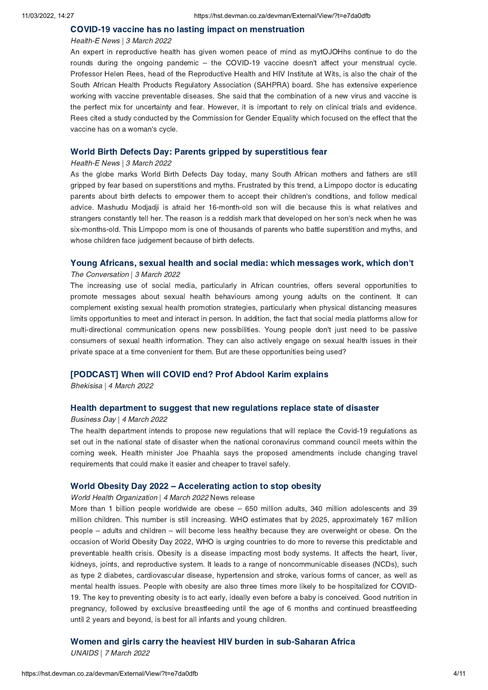Health-E News | 3 March 2022<br>An expert in reproductive health has given women peace of mind as For experiment pertantive transmitted given women peace of mind as mytogeneus continue to do the<br>rounds during the ongoing pandemic – the COVID-19 vaccine doesn't affect your menstrual cycle.<br>Professor Helen Rees, head of Professor Helen Rees, head of the Reproductive Health and HIV Institute at Wits, is also the chair of the<br>South African Health Products Regulatory Association (SAHPRA) board. She has extensive experience working with vaccine preventable diseases. She said that the combination of a new virus and vaccine is the perfect mix for uncertainty and fear. However, it is important to rely on clinical trials and evidence. Rees cited a study conducted by the Commission for Gender Equality which focused on the effect that the Rees cited a study conducted by the Commission for Gender Equality which focused on the effect that the vaccine has on a woman's cycle.

World Birth Birth Defects Day: Parents gripped by superstitutions of Health-E News | 3 March 2022<br>As the globe marks World Birth Defects Day today many South African me As the globe marks World Birth Defects Day today, many South African mothers and fathers are still gripped by fear based on superstitions and myths. Frustrated by this trend, a Limpopo doctor is educating parents about birth defects to empower them to accept their children's conditions, and follow medical advice. Mashudu Modjadji is afraid her 16-month-old son will die because this is what relatives and strangers constantly tell her. The reason is a reddish mark that developed on her son's neck when he was six-months-old. This Limpopo mom is one of thousands of parents who battle superstition and myths, and whose children face judgement because of birth defects. whose children face judgement because of birth defects.

### Young Africans, sexual health and social media: which messages work, which don['](https://hst.devman.co.za/devman/external/?t=a034fa8f)t

### The Conversation | 3 March 2022<br>The increasing use of social m

The increasing use of social media, particularly in African countries, offers several opportunities to promote messages about sexual health behaviours among young adults on the continent. It can complement existing sexual health promotion strategies, particularly when physical distancing measures limits opportunities to meet and interact in person. In addition, the fact that social media platforms allow for multi-directional communication opens new possibilities. Young people don't just need to be passive<br>consumers of sexual health information. They can also actively engage on sexual health issues in their consumers of sexual health information. They can also actively engage on sexual health issues in their<br>private space at a time convenient for them. But are these opportunities being used? private space at a time convenient for them. But are these opportunities being used?

[PODCAST] When will COVID end? Prof Abdool Karim explains Bhekisisa | <sup>4</sup> March <sup>2022</sup>

Health department to suggest that new regulations that will replace the Covid-19 recorder of the bealth department intends to propose new requlations that will replace the Covid-19 record The health department intends to propose new regulations that will replace the Covid-19 regulations as set out in the national state of disaster when the national coronavirus command council meets within the coming week. Health minister Joe Phaahla says the proposed amendments include changing travel requirements that could make it easier and cheaper to travel safely. requirements that could make it easier and cheaper to travel safely.

### World Obesity Day 2022 [–](https://hst.devman.co.za/devman/external/?t=76907271) Accelerating action to stop obesity

World Health Organization | 4 March 2022 News release<br>More than 1 billion people worldwide are obese - 650

More than 1 billion people worldwide are obese – 650 million adults, 340 million adolescents and 39 million children. This number is still increasing. WHO estimates that by 2025, approximately 167 million million children. This number is still increasing. This standard and by 2025, approximately 167 million.<br>people – adults and children – will become less healthy because they are overweight or obese. On the<br>occasion of Worl occasion of World Obesity Day 2022, WHO is urging countries to do more to reverse this predictable and<br>preventable health crisis. Obesity is a disease impacting most body systems. It affects the heart, liver, kidneys, joints, and reproductive system. It leads to a range of noncommunicable diseases (NCDs), such as type 2 diabetes, cardiovascular disease, hypertension and stroke, various forms of cancer, as well as mental health issues. People with obesity are also three times more likely to be hospitalized for COVID-19. The key to preventing obesity is to act early, ideally even before a baby is conceived. Good nutrition in pregnancy, followed by exclusive breastfeeding until the age of 6 months and continued breastfeeding until 2 years and beyond, is best for all infants and young children.  $\sum_{i=1}^n$  years and beyond, is best for all infants and young children.

UNAIDS | 7 March 2022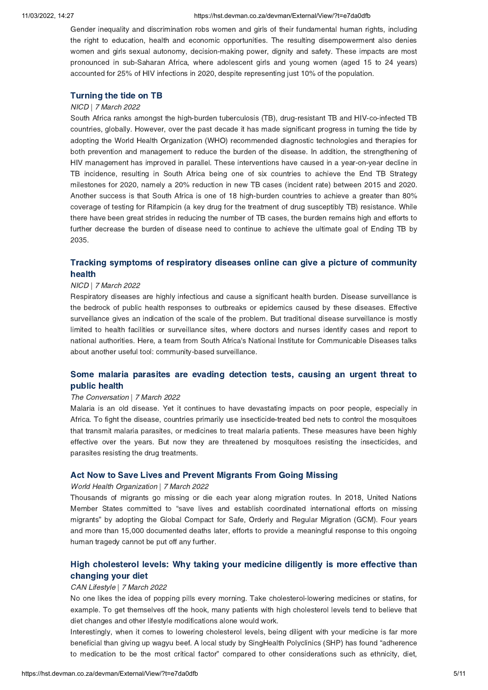### 11/03/2022, 14:27 https://hst.devman.co.za/devman/External/View/?t=e7da0dfb

Gender inequality and discrimination robs women and girls of their fundamental human rights, including<br>the right to education, health and economic opportunities. The resulting disempowerment also denies women and girls sexual autonomy, decision-making power, dignity and safety. These impacts are most pronounced in sub-Saharan Africa, where adolescent girls and young women (aged 15 to 24 years) accounted for 25% of HIV infections in 2020, despite representing just 10% of the population. accounted for 25% of HIV infections in 2020, despite representing just 10% of the population.

# MICD | 7 March 2022<br>South Africa ranks amongst

South Africa ranks amongst the high-burden tuberculosis (TB), drug-resistant TB and HIV-co-infected TB countries, globally. However, over the past decade it has made significant progress in turning the tide by adopting the World Health Organization (WHO) recommended diagnostic technologies and therapies for both prevention and management to reduce the burden of the disease. In addition, the strengthening of HIV management has improved in parallel. These interventions have caused in a year-on-year decline in TB incidence, resulting in South Africa being one of six countries to achieve the End TB Strategy milestones for 2020, namely a 20% reduction in new TB cases (incident rate) between 2015 and 2020. Another success is that South Africa is one of 18 high-burden countries to achieve a greater than 80% coverage of testing for Rifampicin (a key drug for the treatment of drug susceptibly TB) resistance. While there have been great strides in reducing the number of TB cases, the burden remains high and efforts to further decrease the burden of disease need to continue to achieve the ultimate goal of Ending TB by further decrease the burden of disease need to continue to continue to achieve the ultimate goal of  $\frac{1}{3}$ 

### $T$ racking symptoms of respiratory diseases online can give a picture of [community](https://hst.devman.co.za/devman/external/?t=8881c790).

# NICD | 7 March 2022<br>Respiratory diseases

Respiratory diseases are highly infectious and cause a significant health burden. Disease surveillance is the bedrock of public health responses to outbreaks or epidemics caused by these diseases. Effective surveillance gives an indication of the scale of the problem. But traditional disease surveillance is mostly limited to health facilities or surveillance sites, where doctors and nurses identify cases and report to national authorities. Here, a team from South Africa's National Institute for Communicable Diseases talks<br>about another useful tool: community-based surveillance. about another useful tool: community-based surveillance.

### Some malaria parasites are evading [detection](https://hst.devman.co.za/devman/external/?t=9705c1f5) tests, causing an urgent threat to

# public health<br>The Conversation | 7 March 2022<br>Malaria is an old disease. Yet it

Malaria is an old disease. Yet it continues to have devastating impacts on poor people, especially in<br>Africa. To fight the disease, countries primarily use insecticide-treated bed nets to control the mosquitoes that transmit malaria parasites, or medicines to treat malaria patients. These measures have been highly effective over the years. But now they are threatened by mosquitoes resisting the insecticides, and parasites resisting the drug treatments. parasites resisting the drug treatments.

Morld Health Organization | 7 March 2022<br>
Thousands of migrants go missing or die each vear along migration routes In Member States committed to "save lives and establish coordinated international efforts on missing<br>
Member States committed to "save lives and establish coordinated international efforts on missing<br>
migrants" by adopting th migrants" by adopting the Global Compact for Safe, Orderly and Regular Migration (GCM). Four years<br>and more than 15,000 documented deaths later, efforts to provide a meaningful response to this ongoing human tragedy cannot be put off any further. human tragedy cannot be put off any further.

# High [cholesterol](https://hst.devman.co.za/devman/external/?t=9f18da33) levels: Why taking your medicine diligently is more effective than changing your diet

# changing your direct<br>CAN Lifestyle | 7 March 2022<br>No one likes the idea of popr

No one likes the idea of popping pills every morning. Take cholesterol-lowering medicines or statins, for example. To get themselves off the hook, many patients with high cholesterol levels tend to believe that diet changes and other lifestyle modifications alone would work.

Interestingly, when it comes to lowering cholesterol levels, being diligent with your medicine is far more beneficial than giving up wagyu beef. A local study by SingHealth Polyclinics (SHP) has found "adherence<br>to medication to be the most critical factor" compared to other considerations such as ethnicity, diet. to medication to be the most critical factor" compared to other considerations such as ethnicity, diet,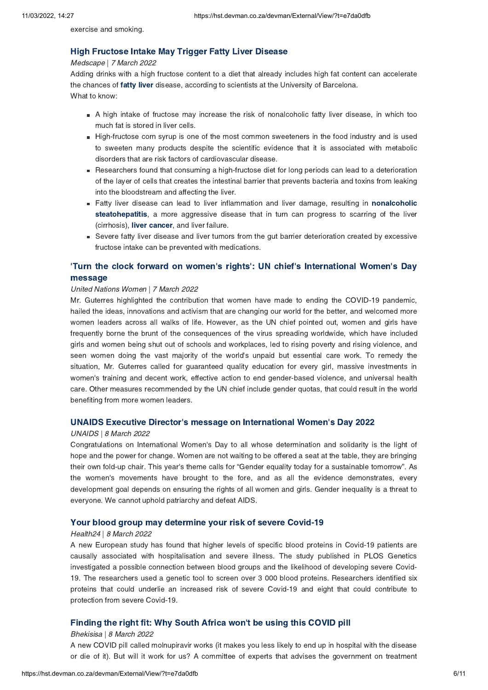exercise and smoking.

Medscape | 7 March 2022<br>Adding drinks with a high fructose content to a diet that already in Adding drinks with a [high](https://hst.devman.co.za/devman/external/?t=d0305779) fructose content to a diet that already includes high fat content can accelerate the chances of **fatty liver** disease, according to scientists at the University of Barcelona. the chances of fatty liver disease, according to scientists at the University of Barcelona.

- A high intake of fructose may increase the risk of nonalcoholic fatty liver disease, in which too much fat is stored in liver cells.
- High-fructose corn syrup is one of the most common sweeteners in the food industry and is used to sweeten many products despite the scientific evidence that it is associated with metabolic disorders that are risk factors of cardiovascular disease.
- Researchers found that consuming a high-fructose diet for long periods can lead to a deterioration of the layer of cells that creates the intestinal barrier that prevents bacteria and toxins from leaking into the bloodstream and affecting the liver.
- Fatty liver disease can lead to liver inflammation and liver damage, resulting in nonalcoholic steatohepatitis, a more aggressive disease that in turn can progress to scarring of the liver (cirrhosis), liver cancer, and liver failure.
- Severe fatty liver disease and liver tumors from the gut barrier deterioration created by excessive fructose intake can be prevented with medications. fructose intake can be prevented with medications.

## 'Turn the clock forward on women's rights': UN chief's [International](https://hst.devman.co.za/devman/external/?t=8fbcccff) Women's Day

# United Nations Women | 7 March 2022<br>Mr. Guterres highlighted the contribut

Mr. Guterres highlighted the contribution that women have made to ending the COVID-19 pandemic, hailed the ideas, innovations and activism that are changing our world for the better, and welcomed more women leaders across all walks of life. However, as the UN chief pointed out, women and girls have frequently borne the brunt of the consequences of the virus spreading worldwide, which have included girls and women being shut out of schools and workplaces, led to rising poverty and rising violence, and seen women doing the vast majority of the world's unpaid but essential care work. To remedy the situation, Mr. Guterres called for guaranteed quality education for every girl, massive investments in situation, Mr. Guaranteed for guaranteed public processes called for girl, massive investments in the state in<br>women's training and decent work, effective action to end gender-based violence, and universal health<br>care. Oth care. Other measures recommended by the UN chief include gender quotas, that could result in the world benefiting from more women leaders.

### UNAIDS Executive Director['](https://hst.devman.co.za/devman/external/?t=8df1a75c)s message on International Women's Day 2022

### UNAIDS | 8 March 2022<br>Congratulations on Inter

Congratulations on International Women's Day to all whose determination and solidarity is the light of hope and the power for change. Women are not waiting to be offered a seat at the table, they are bringing their own fold-up chair. This year's theme calls for "Gender equality today for a sustainable tomorrow". As<br>the women's movements have brought to the fore and as all the evidence demonstrates every the women's movements have brought to the fore, and as all the evidence demonstrates, every development goal depends on ensuring the rights of all women and girls. Gender inequality is a threat to everyone. We cannot uphold patriarchy and defeat AIDS. everyone. We cannot uphold patriarchy and defeat AIDS.

Your blood group may determine your risk of severe Covid-19<br>Health24 | 8 March 2022<br>A new Furonean study has found that higher levels of specific blood protei A new European study has found that higher levels of specific blood proteins in Covid-19 patients are causally associated with hospitalisation and severe illness. The study published in PLOS Genetics investigated a possible connection between blood groups and the likelihood of developing severe Covid-19. The researchers used a genetic tool to screen over 3 000 blood proteins. Researchers identified six proteins that could underlie an increased risk of severe Covid-19 and eight that could contribute to protection from severe Covid-19. protection from severe Covid-19.

### Finding the right fit: Why South Africa won['](https://hst.devman.co.za/devman/external/?t=a653dea2)t be using this COVID pill

### Bhekisisa | 8 March 2022<br>A new COVID pill called n

A new Covid-Covid-Covid-Covid-Covid-Covid-Covid-Covid-Covid-Covid-Covid-Covid-Covid-Covid-Covid-Covid-Covid-Covid-Covid-Covid-Covid-Covid-Covid-Covid-Covid-Covid-Covid-Covid-Covid-Covid-Covid-Covid-Covid-Covid-Covid-Covid- $\alpha$  it is a committed of the user  $\alpha$  committee of experts that advises the government on treatment on treatment on treatment on the government on treatment on the government on the government of the government on the g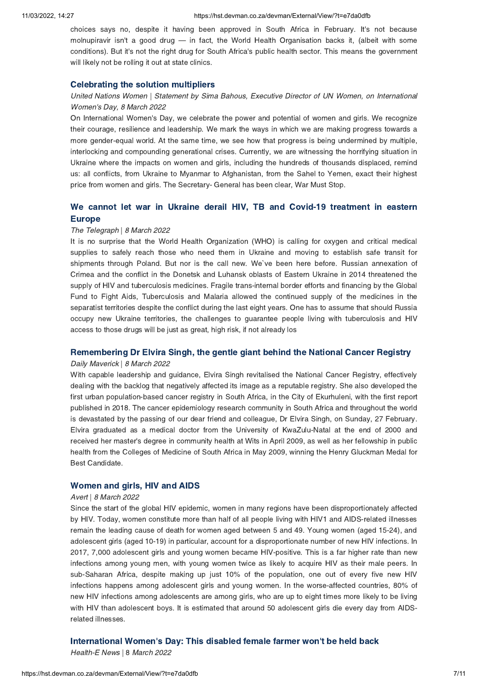choices says no, despite it having been approved in South Africa in February. It's not because<br>molnupiravir isn't a good drug — in fact, the World Health Organisation backs it. (albeit with some molnupiravir isn't a good drug — in fact, the World Health Organisation backs it, (albeit with some<br>conditions). But it's not the right drug for South Africa's public health sector. This means the government conditions). But it's not the right drug for South Africa's public health sector. This means the government will likely not be rolling it out at state clinics. will likely not be rolling it out at state clinical

### Celebrating the solution multipliers United Nations Women | Statement by Sima Bahous, Executive Director of UN Women, on International Women's Day, 8 March 2022

On International Women's Day, we celebrate the power and potential of women and girls. We recognize their courage, resilience and leadership. We mark the ways in which we are making progress towards a more gender-equal world. At the same time, we see how that progress is being undermined by multiple. interlocking and compounding generational crises. Currently, we are witnessing the horrifying situation in Ukraine where the impacts on women and girls, including the hundreds of thousands displaced, remind us: all conflicts, from Ukraine to Myanmar to Afghanistan, from the Sahel to Yemen, exact their highest price from women and girls. The Secretary- General has been clear, War Must Stop. price from women and girls. The Secretary- General has been clear, War Must Stop.

## We can not let war in Ukraine derail HIV, TB and Covid-19 [treatment](https://hst.devman.co.za/devman/external/?t=ae66f6e0) in eastern in eastern in eastern in eastern in eastern in eastern in eastern in eastern in eastern in eastern in eastern in eastern in eastern in eastern

# The Telegraph | 8 March 2022<br>It is no surprise that the Wor

It is no surprise that the World Health Organization (WHO) is calling for oxygen and critical medical<br>supplies to safely reach those who need them in Ukraine and moving to establish safe transit for shipments through Poland. But nor is the call new. We've been here before. Russian annexation of Crimea and the conflict in the Donetsk and Luhansk oblasts of Eastern Ukraine in 2014 threatened the supply of HIV and tuberculosis medicines. Fragile trans-internal border efforts and financing by the Global Fund to Fight Aids, Tuberculosis and Malaria allowed the continued supply of the medicines in the separatist territories despite the conflict during the last eight years. One has to assume that should Russia occupy new Ukraine territories, the challenges to guarantee people living with tuberculosis and HIV access to those drugs will be just as great, high risk, if not already los access to the drugs will be just as great, high risk, if already los

Daily Maverick | 8 March 2022<br>
With capable leadership and quidance. Flyira Singh revitalised the National Cancer Registry, effectivel With capable leadership and guidance, Elvira Singh revitalised the National Cancer Registry, effectively dealing with the backlog that negatively affected its image as a reputable registry. She also developed the first urban population-based cancer registry in South Africa, in the City of Ekurhuleni, with the first report published in 2018. The cancer epidemiology research community in South Africa and throughout the world is devastated by the passing of our dear friend and colleague. Dr Elvira Singh, on Sunday, 27 February. Elvira graduated as a medical doctor from the University of KwaZulu-Natal at the end of 2000 and received her master's degree in community health at Wits in April 2009, as well as her fellowship in public health from the Colleges of Medicine of South Africa in May 2009, winning the Henry Gluckman Medal for Best Candidate. Best Candidate.

Avert | 8 March 2022<br>Since the start of the global HIV enidem Since the start of the global HIV epidemic, women in many regions have been disproportionately affected<br>by HIV. Today, women constitute more than half of all people living with HIV1 and AIDS-related illnesses remain the leading cause of death for women aged between 5 and 49. Young women (aged 15-24), and adolescent girls (aged 10-19) in particular, account for a disproportionate number of new HIV infections. In 2017, 7,000 adolescent girls and voung women became HIV-positive. This is a far higher rate than new infections among young men, with young women twice as likely to acquire HIV as their male peers. In sub-Saharan Africa, despite making up just 10% of the population, one out of every five new HIV infections happens among adolescent girls and young women. In the worse-affected countries, 80% of new HIV infections among adolescents are among girls, who are up to eight times more likely to be living with HIV than adolescent boys. It is estimated that around 50 adolescent girls die every day from AIDS- $\blacksquare$ 

### International Women['](https://hst.devman.co.za/devman/external/?t=e95cb207)s Day: This disabled female farmer won't be held back

Health-E News | 8 March <sup>2022</sup>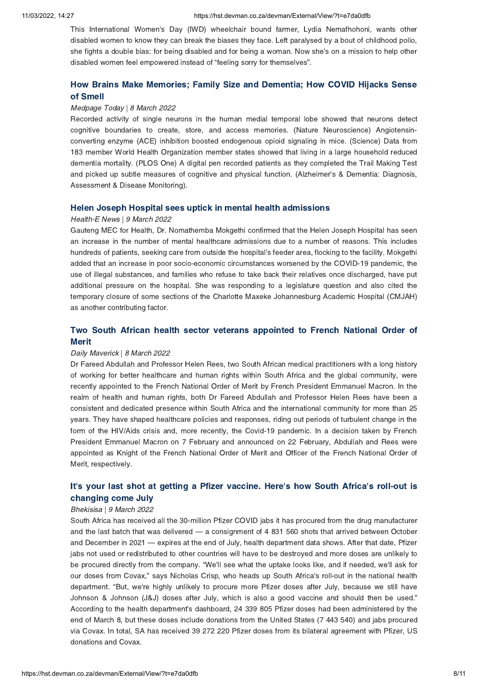This International Women's Day (IWD) wheelchair bound farmer, Lydia Nemafhohoni, wants other disabled women to know they can break the biases they face. Left paralysed by a bout of childhood polio, disabled women teel empowered instead of "feeling sorry for themselves".<br>She fights a double bias: for being disabled and for being a woman. Now she's on a mission to help other<br>disabled women feel empowered instead of "fe disabled women feel empowered instead of "feeling sorry for themselves".

# How Brains Make [Memories;](https://hst.devman.co.za/devman/external/?t=6719b5a3) Family Size and Dementia; How COVID Hijacks Sense

# of Survey<br>Medpage Today | 8 March 2022<br>Recorded activity of single neu

Recorded activity of single neurons in the human medial temporal lobe showed that neurons detect cognitive boundaries to create, store, and access memories. (Nature Neuroscience) Angiotensinconverting enzyme (ACE) inhibition boosted endogenous opioid signaling in mice. (Science) Data from 183 member World Health Organization member states showed that living in a large household reduced dementia mortality. (PLOS One) A digital pen recorded patients as they completed the Trail Making Test and picked up subtle measures of cognitive and physical function. (Alzheimer's & Dementia: Diagnosis,<br>Assessment & Disease Monitoring) Assessment & Disease Monitoring).

Health-E News | 9 March 2022<br>Gauteng MFC for Health Dr. Nomathemba Mokgethi confirmed that the Helen an increase in the number of mental healthcare admissions due to a number of reasons. This includes hundreds of patients, seeking care from outside the hospital's feeder area, flocking to the facility. Mokgethi added that an increase in poor socio-economic circumstances worsened by the COVID-19 pandemic, the use of illegal substances, and families who refuse to take back their relatives once discharged, have put additional pressure on the hospital. She was responding to a legislature question and also cited the temporary closure of some sections of the Charlotte Maxeke Johannesburg Academic Hospital (CMJAH) temporary contributions of the Charlotte Maxematics Charlotte Maxematics Maxematics (CMJAH)<br>as another contribution factor. as another contributing factor.

## Two South African health sector vertex approach to French National Order of Transition Order of Transitional Order of Transitional Order of Transitional Order of Transitional Order of Transitional Order of Transitional Ord

# —<br>*Daily Maverick ∣ 8 March 2022*<br>Dr Fareed Abdullah and Profes

Dr Fareed Abdullah and Professor Helen Rees, two South African medical practitioners with a long history<br>of working for better healthcare and human rights within South Africa and the global community, were recently appointed to the French National Order of Merit by French President Emmanuel Macron. In the realm of health and human rights, both Dr Fareed Abdullah and Professor Helen Rees have been a consistent and dedicated presence within South Africa and the international community for more than 25 years. They have shaped healthcare policies and responses, riding out periods of turbulent change in the form of the HIV/Aids crisis and, more recently, the Covid-19 pandemic. In a decision taken by French Fresident Emmanuel Macron on 7 February and announced on 22 February, Abdullah and Rees were appointed as Knight of the French National Order of Merit and Officer of the French National Order of Merit, respectively.  $\ldots$ , respectively.

## It's your last shot at getting a Pfizer [vaccine.](https://hst.devman.co.za/devman/external/?t=790b0ac2) Here's how South Africa's roll-out is changing come July

# changing come July Bhekisisa | <sup>9</sup> March <sup>2022</sup>

South Africa has received an all the 30-million Pfizer Covid-process is had arrived between October and the last batch that was delivered — a consignment of 4 831 560 shots that arrived between October and December in 2021 and December in 2021 — expires at the end of July, health department data shows. After that date, Pfizer jabs not used or redistributed to other countries will have to be destroyed and more doses are unlikely to jab is not used or redistributed to other countries in have to be destroyed and more doses are unlikely to be procured directly from the company. "We'll see what the uptake looks like, and if needed, we'll ask for our dose our doses from Covax," says Nicholas Crisp, who heads up South Africa's roll-out in the national health department. "But, we're highly unlikely to procure more Pfizer doses after July, because we still have Johnson & Johnson (J&J) doses after July, which is also a good vaccine and should then be used." According to the health department's dashboard, 24 339 805 Pfizer doses had been administered by the end of March 8, but these doses include donations from the United States (7 443 540) and jabs procured via Covax In total SA has received 39 272 220 Pfizer doses from its bilateral agreement with Pfizer US  $\alpha$  donations and Covax. **In the same in the same in the same is bilateral agreement with Pfizer, US**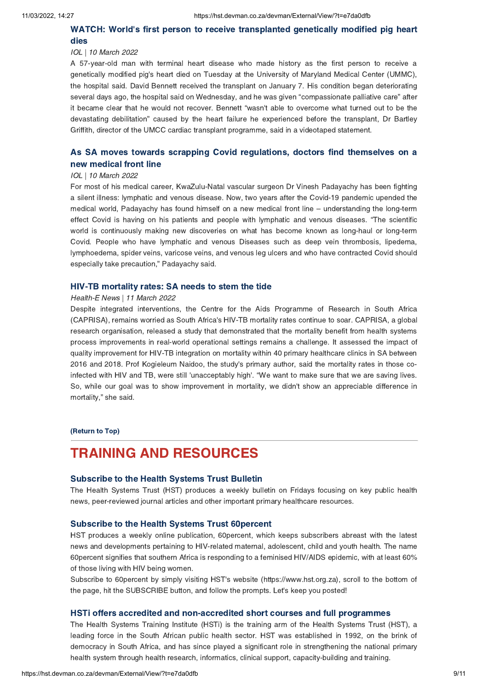# WATCH: World's first person to receive [transplanted](https://hst.devman.co.za/devman/external/?t=878f0527) genetically modified pig heart

# dies IOL | <sup>10</sup> March <sup>2022</sup>

A 57-year-old man with terminal heart disease who made history as the first person to receive a genetically modified pig's heart died on Tuesday at the University of Maryland Medical Center (UMMC), the hospital said. David Bennett received the transplant on January 7. His condition began deteriorating the hospital same same is considered the transplant on January 7. His condition began determining<br>several days ago, the hospital said on Wednesday, and he was given "compassionate palliative care" after<br>it became clear tha it became clear that he would not recover. Bennett "wasn't able to overcome what turned out to be the devastating debilitation" caused by the heart failure he experienced before the transplant, Dr Bartley Griffith, director of the UMCC cardiac transplant programme, said in a videotaped statement.

## As SA moves towards scrapping Covid [regulations,](https://hst.devman.co.za/devman/external/?t=916d4308) doctors find themselves on a new medical front line

# new medical contracts<br>IOL | 10 March 2022<br>For most of his medical care

For most of his medical career, KwaZulu-Natal vascular surgeon Dr Vinesh Padayachy has been fighting<br>a silent illness: lymphatic and venous disease. Now, two years after the Covid-19 pandemic upended the medical world, Padayachy has found himself on a new medical front line – understanding the long-term<br>effect Covid-is having on his patients and people with lymphatic and venous diseases. "The scientific effect Covid is having on his patients and people with lymphatic and venous diseases. "The scientific<br>world is continuously making new discoveries on what has become known as long-haul or long-term Covid. People who have lymphatic and venous Diseases such as deep vein thrombosis, lipedema, lymphoedema, spider veins, varicose veins, and venous leg ulcers and who have contracted Covid should especially take precaution," Padayachy said.

Health-E News | 11 March 2022<br>Despite integrated interventions, the Centre for the Aids Despite integrated interventions, the Centre for the Aids Programme of Research in South Africa<br>(CAPRISA), remains worried as South Africa's HIV-TB mortality rates continue to soar. CAPRISA, a global research organisation, released a study that demonstrated that the mortality benefit from health systems process improvements in real-world operational settings remains a challenge. It assessed the impact of quality improvement for HIV-TB integration on mortality within 40 primary healthcare clinics in SA between 2016 and 2018. Prof Kogieleum Naidoo, the study's primary author, said the mortality rates in those co-2016 and 2018. Prof Kogieleum Naidoo, the study's primary author, said the mortality rates in those co-<br>infected with HIV and TB, were still 'unacceptably high'. "We want to make sure that we are saving lives infected with HIV and TB, were still 'unacceptably high'. "We want to make sure that we are saving lives.<br>So, while our goal was to show improvement in mortality, we didn't show an appreciable difference in So, while our goal was to show improvement in mortality, we didn't show an appreciable difference in mortality," she said.

(Return to Top)

### <span id="page-8-0"></span>**TRAINING AND RESOURCES**

### Subscribe to the Health Systems Trust Bulletin

The Health Systems Trust (HST) produces a weekly bulletin on Fridays focusing on key public health news, peer-reviewed journal articles and other important primary healthcare resources. news, peer-reviewed journal articles and other important primary healthcare resources.

**Subscribe to the Health Systems Trust 60percent**<br>HST produces a weekly online publication, 60percent, which keeps subscribers abreast with the latest news and developments pertaining to HIV-related maternal, adolescent, child and youth health. The name 60 percent signifies that southern Africa is responding to a feminised HIV/AIDS epidemic, with at least 60% of those living with HIV being women.

of these living minimizering memorities.<br>Subscribe to 60percent by simply visiting HST's website (https://www.hst.org.za), scroll to the bottom of<br>the page, hit the SUBSCRIBE button, and follow the prompts. Let's keep you the page, hit the SUBSCRIBE button, and follow the prompts. Let's keep you posted!

### HSTi offers accredited and non-accredited short courses and full programmes<br>The Health Systems Training Institute (HSTi) is the training arm of the Health Systems Trust (HST), a

leading force in the South African public health sector. HST was established in 1992, on the brink of democracy in South Africa, and has since played a significant role in strengthening the national primary health system through health research, informatics, clinical support, capacity-building and training. health system through health research, informatics, clinical support, capacity-building and training.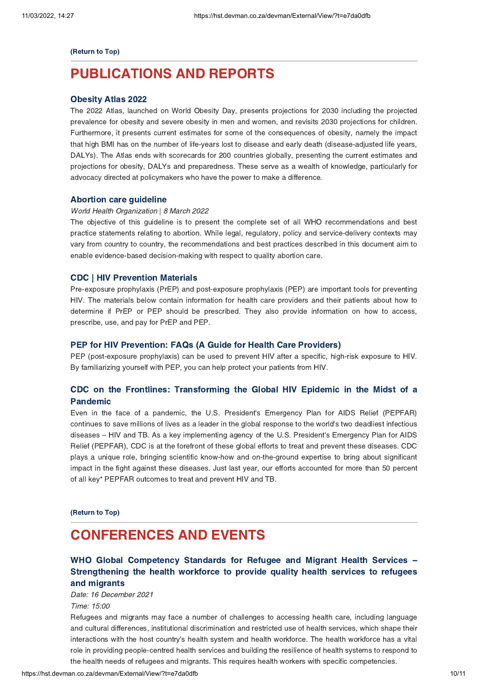### (Return to Top)

### **PUBLICATIONS AND REPORTS** [PUBLICATIO](https://hst.devman.co.za/devman/external/?t=ca97d88c)NS AND REPORTS AND REPORTS AND REPORTS AND REPORTS AND REPORTS AND REPORTS AND REPORTS AND REPORTS AND REPORTS.

**Obesity Atlas 2022**<br>The 2022 Atlas, launched on World Obesity Day, presents projections for 2030 including the projected prevalence for obesity and severe obesity in men and women, and revisits 2030 projections for children. Furthermore, it presents current estimates for some of the consequences of obesity, namely the impact that high BMI has on the number of life-years lost to disease and early death (disease-adjusted life years, DALYs). The Atlas ends with scorecards for 200 countries globally, presenting the current estimates and projections for obesity, DALYs and preparedness. These serve as a wealth of knowledge, particularly for advocacy directed at policymakers who have the power to make a difference. advocacy directed at policymakers who have the power to make a difference.

# World Health Organization | 8 March 2022<br>The objective of this quideline is to pres

The objective of this guideline is to present the complete set of all WHO recommendations and best practice statements relating to abortion. While legal, regulatory, policy and service-delivery contexts may vary from country to country, the recommendations and best practices described in this document aim to enable evidence-based decision-making with respect to quality abortion care. enable evidence-based decision-making with respect to quality abortion care.

**CDC** | HIV Prevention Materials<br>Pre-exposure prophylaxis (PrEP) and post-exposure prophylaxis (PEP) are important tools for preventing HIV. The materials below contain information for health care providers and their patients about how to determine if PrEP or PEP should be prescribed. They also provide information on how to access, prescribe, use, and pay for PrEP and PEP. prescribe, use, and pay for PrEP and PEP.

**PEP for HIV Prevention: FAQs (A Guide for Health Care Providers)**<br>PEP (post-exposure prophylaxis) can be used to prevent HIV after a specific, high-risk exposure to HIV. PEP (post-exposure prophylaxis) can be used to prevent to an and to prevent exposure to prevent in the HIV. By familiarizing yourself with PEP, you can help protect your patients from HIV.

### Pandemic **Commerce [Transforming](https://hst.devman.co.za/devman/external/?t=fdd3e581)** the Global Hills epidemic in the Midst of a

Pandemicoles<br>Even in the face of a pandemic, the U.S. President's Emergency Plan for AIDS Relief (PEPFAR)<br>continues to save millions of lives as a leader in the global response to the world's two deadliest infectious continues to save millions of lives as a leader in the global response to the world's two deadliest infectious diseases – HIV and TB. As a key implementing agency of the U.S. President's Emergency Plan for AIDS<br>Relief (PEPFAR). CDC is at the forefront of these global efforts to treat and prevent these diseases. CDC plays a unique role, bringing scientific know-how and on-the-ground expertise to bring about significant impact in the fight against these diseases. Just last year, our efforts accounted for more than 50 percent impact in the fight against these diseases services year, our efforts accounted for more than 50 percent.<br>of all key\* PEPEAR outcomes to treat and prevent HIV and TB of all key\* PEPFAR outcomes to treat and prevent HIV and TB.

(Return to Top)

### <span id="page-9-0"></span>**CONFERENCES AND EVENTS** CONFERENCES AND EXPERIENCES<br>MUIO Olabel Occurations: Otenslaude for Defini

### WHO Global Competency Standards for Refugee and Migrant Health Services –<br>Strengthening the health workforce to provide quality health services to refugees [Strengthening](https://hst.devman.co.za/devman/external/?t=c564db28) the health workforce to provide quality health services to refugees

min migrants<br>Date: 16 December 2021 Time: 15:00

Refugees and migrants may face a number of challenges to accessing health care, including language<br>and cultural differences, institutional discrimination and restricted use of health services, which shape their interactions with the host country's health system and health workforce. The health workforce has a vital role in providing people-centred health services and building the resilience of health systems to respond to role in providing people-centred health systems to respond the health systems to respond the health needs of refugees and migrants. This requires health workers with specific competencies.